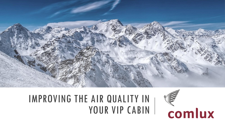

## IMPROVING THE AIR QUALITY IN YOUR VIP CABIN

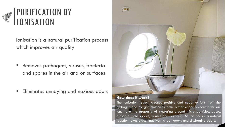

Ionisation is a natural purification process which improves air quality

**E** Removes pathogens, viruses, bacteria and spores in the air and on surfaces

**Eliminates annoying and noxious odors** 



#### **How does it work?**

The ionisation system creates positive and negative ions from the hydrogen and oxygen molecules in the water vapor present in the air. Ions have the property of clustering around micro particles, gases, airborne mold spores, viruses and bacteria. As this occurs, a natural reaction takes place, inactivating pathogens and dissipating odors.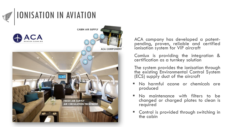

#### IONISATION IN AVIATION



ACA company has developed a patentpending, proven, reliable and certified ionisation system for VIP aircraft

Comlux is providing the integration & certification as a turnkey solution

The system provides the ionisation through the existing Environmental Control System (ECS) supply duct of the aircraft

- No harmful ozone or chemicals are produced
- No maintenance with filters to be changed or charged plates to clean is required
- Control is provided through switching in the cabin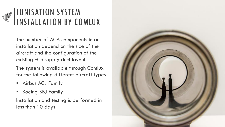

#### IONISATION SYSTEM INSTALLATION BY COMLUX

The number of ACA components in an installation depend on the size of the aircraft and the configuration of the existing ECS supply duct layout

The system is available through Comlux for the following different aircraft types

- **E** Airbus ACJ Family
- **Boeing BBJ Family**

Installation and testing is performed in less than 10 days

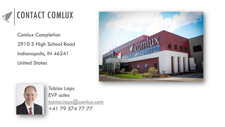

### CONTACT COMLUX

Comlux Completion 2910 S High School Road Indianapolis, IN 46241 United States





Tobias Laps EVP sales [tobias.laps@comlux.com](mailto:tobias.laps@comlux.com) +41 79 574 77 77